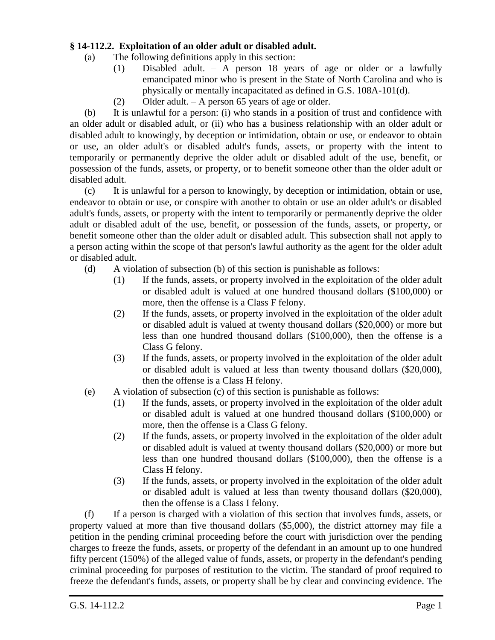## **§ 14-112.2. Exploitation of an older adult or disabled adult.**

- (a) The following definitions apply in this section:
	- (1) Disabled adult. A person 18 years of age or older or a lawfully emancipated minor who is present in the State of North Carolina and who is physically or mentally incapacitated as defined in G.S. 108A-101(d).
	- (2) Older adult. A person 65 years of age or older.

(b) It is unlawful for a person: (i) who stands in a position of trust and confidence with an older adult or disabled adult, or (ii) who has a business relationship with an older adult or disabled adult to knowingly, by deception or intimidation, obtain or use, or endeavor to obtain or use, an older adult's or disabled adult's funds, assets, or property with the intent to temporarily or permanently deprive the older adult or disabled adult of the use, benefit, or possession of the funds, assets, or property, or to benefit someone other than the older adult or disabled adult.

(c) It is unlawful for a person to knowingly, by deception or intimidation, obtain or use, endeavor to obtain or use, or conspire with another to obtain or use an older adult's or disabled adult's funds, assets, or property with the intent to temporarily or permanently deprive the older adult or disabled adult of the use, benefit, or possession of the funds, assets, or property, or benefit someone other than the older adult or disabled adult. This subsection shall not apply to a person acting within the scope of that person's lawful authority as the agent for the older adult or disabled adult.

- (d) A violation of subsection (b) of this section is punishable as follows:
	- (1) If the funds, assets, or property involved in the exploitation of the older adult or disabled adult is valued at one hundred thousand dollars (\$100,000) or more, then the offense is a Class F felony.
	- (2) If the funds, assets, or property involved in the exploitation of the older adult or disabled adult is valued at twenty thousand dollars (\$20,000) or more but less than one hundred thousand dollars (\$100,000), then the offense is a Class G felony.
	- (3) If the funds, assets, or property involved in the exploitation of the older adult or disabled adult is valued at less than twenty thousand dollars (\$20,000), then the offense is a Class H felony.
- (e) A violation of subsection (c) of this section is punishable as follows:
	- (1) If the funds, assets, or property involved in the exploitation of the older adult or disabled adult is valued at one hundred thousand dollars (\$100,000) or more, then the offense is a Class G felony.
	- (2) If the funds, assets, or property involved in the exploitation of the older adult or disabled adult is valued at twenty thousand dollars (\$20,000) or more but less than one hundred thousand dollars (\$100,000), then the offense is a Class H felony.
	- (3) If the funds, assets, or property involved in the exploitation of the older adult or disabled adult is valued at less than twenty thousand dollars (\$20,000), then the offense is a Class I felony.

(f) If a person is charged with a violation of this section that involves funds, assets, or property valued at more than five thousand dollars (\$5,000), the district attorney may file a petition in the pending criminal proceeding before the court with jurisdiction over the pending charges to freeze the funds, assets, or property of the defendant in an amount up to one hundred fifty percent (150%) of the alleged value of funds, assets, or property in the defendant's pending criminal proceeding for purposes of restitution to the victim. The standard of proof required to freeze the defendant's funds, assets, or property shall be by clear and convincing evidence. The